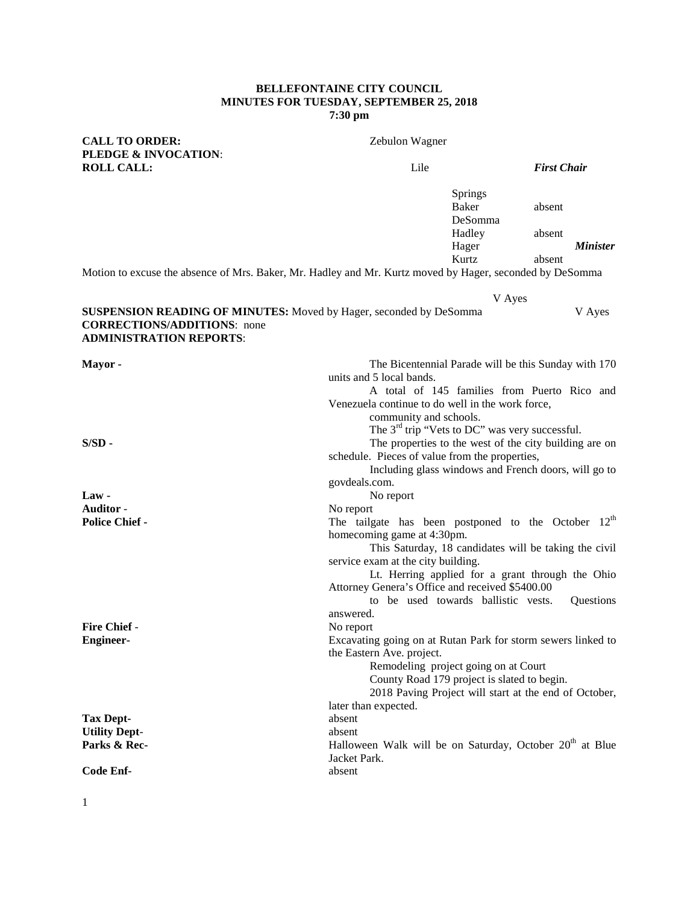## **BELLEFONTAINE CITY COUNCIL MINUTES FOR TUESDAY, SEPTEMBER 25, 2018 7:30 pm**

| <b>CALL TO ORDER:</b><br>PLEDGE & INVOCATION:                                                                                                     | Zebulon Wagner                                                                                           |                                     |  |
|---------------------------------------------------------------------------------------------------------------------------------------------------|----------------------------------------------------------------------------------------------------------|-------------------------------------|--|
| <b>ROLL CALL:</b>                                                                                                                                 | Lile                                                                                                     | <b>First Chair</b>                  |  |
|                                                                                                                                                   | <b>Springs</b><br><b>Baker</b><br>DeSomma<br>Hadley                                                      | absent<br>absent<br><b>Minister</b> |  |
|                                                                                                                                                   | Hager<br>Kurtz                                                                                           | absent                              |  |
| Motion to excuse the absence of Mrs. Baker, Mr. Hadley and Mr. Kurtz moved by Hager, seconded by DeSomma                                          |                                                                                                          |                                     |  |
|                                                                                                                                                   |                                                                                                          | V Ayes                              |  |
| <b>SUSPENSION READING OF MINUTES:</b> Moved by Hager, seconded by DeSomma<br><b>CORRECTIONS/ADDITIONS:</b> none<br><b>ADMINISTRATION REPORTS:</b> |                                                                                                          | V Ayes                              |  |
| Mayor-                                                                                                                                            | The Bicentennial Parade will be this Sunday with 170<br>units and 5 local bands.                         |                                     |  |
|                                                                                                                                                   | A total of 145 families from Puerto Rico and                                                             |                                     |  |
|                                                                                                                                                   | Venezuela continue to do well in the work force,                                                         |                                     |  |
|                                                                                                                                                   | community and schools.                                                                                   |                                     |  |
|                                                                                                                                                   | The $3rd$ trip "Vets to DC" was very successful.                                                         |                                     |  |
| $S/SD -$                                                                                                                                          | The properties to the west of the city building are on<br>schedule. Pieces of value from the properties, |                                     |  |
|                                                                                                                                                   | Including glass windows and French doors, will go to                                                     |                                     |  |
|                                                                                                                                                   | govdeals.com.                                                                                            |                                     |  |
| Law-                                                                                                                                              | No report                                                                                                |                                     |  |
| <b>Auditor</b> -                                                                                                                                  | No report                                                                                                |                                     |  |
| <b>Police Chief -</b>                                                                                                                             | The tailgate has been postponed to the October $12th$                                                    |                                     |  |
|                                                                                                                                                   | homecoming game at 4:30pm.                                                                               |                                     |  |
|                                                                                                                                                   | This Saturday, 18 candidates will be taking the civil<br>service exam at the city building.              |                                     |  |
|                                                                                                                                                   | Lt. Herring applied for a grant through the Ohio                                                         |                                     |  |
|                                                                                                                                                   | Attorney Genera's Office and received \$5400.00                                                          |                                     |  |
|                                                                                                                                                   | to be used towards ballistic vests.                                                                      | Questions                           |  |
|                                                                                                                                                   | answered.                                                                                                |                                     |  |
| <b>Fire Chief -</b>                                                                                                                               | No report                                                                                                |                                     |  |
| <b>Engineer-</b>                                                                                                                                  | Excavating going on at Rutan Park for storm sewers linked to                                             |                                     |  |
|                                                                                                                                                   | the Eastern Ave. project.<br>Remodeling project going on at Court                                        |                                     |  |
|                                                                                                                                                   | County Road 179 project is slated to begin.                                                              |                                     |  |
|                                                                                                                                                   | 2018 Paving Project will start at the end of October,                                                    |                                     |  |
|                                                                                                                                                   | later than expected.                                                                                     |                                     |  |
| <b>Tax Dept-</b>                                                                                                                                  | absent                                                                                                   |                                     |  |
| <b>Utility Dept-</b>                                                                                                                              | absent                                                                                                   |                                     |  |
| Parks & Rec-                                                                                                                                      | Halloween Walk will be on Saturday, October 20 <sup>th</sup> at Blue<br>Jacket Park.                     |                                     |  |
| Code Enf-                                                                                                                                         | absent                                                                                                   |                                     |  |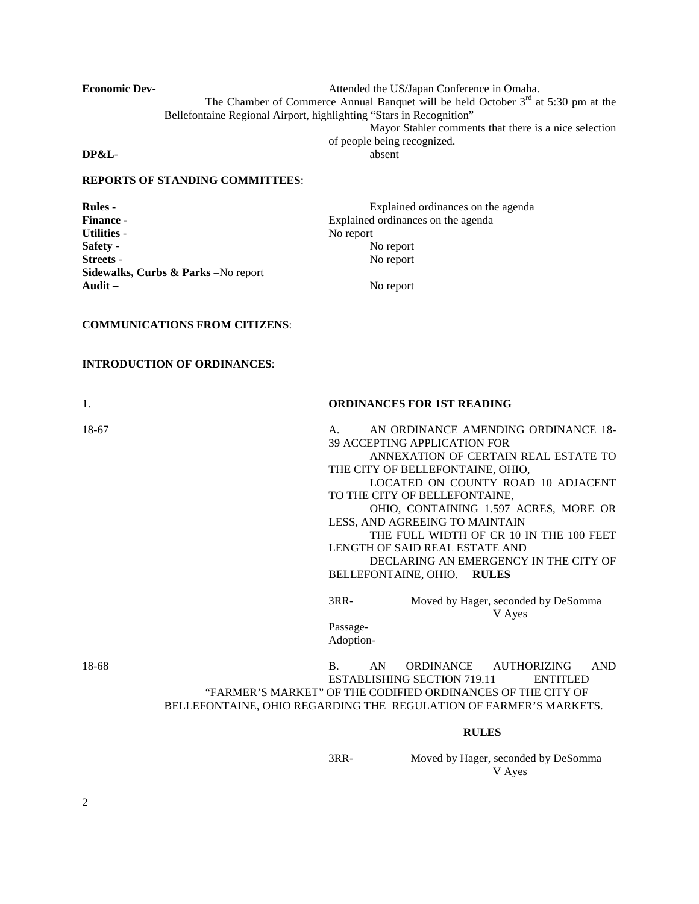| <b>Economic Dev-</b><br>Bellefontaine Regional Airport, highlighting "Stars in Recognition"<br>DP&L-                                | Attended the US/Japan Conference in Omaha.<br>The Chamber of Commerce Annual Banquet will be held October $3rd$ at 5:30 pm at the<br>Mayor Stahler comments that there is a nice selection<br>of people being recognized.<br>absent                                                                                                                                                                                                                                                                                                     |  |  |
|-------------------------------------------------------------------------------------------------------------------------------------|-----------------------------------------------------------------------------------------------------------------------------------------------------------------------------------------------------------------------------------------------------------------------------------------------------------------------------------------------------------------------------------------------------------------------------------------------------------------------------------------------------------------------------------------|--|--|
| <b>REPORTS OF STANDING COMMITTEES:</b>                                                                                              |                                                                                                                                                                                                                                                                                                                                                                                                                                                                                                                                         |  |  |
| <b>Rules</b> -<br>Finance -<br><b>Utilities -</b><br>Safety -<br><b>Streets</b> -<br>Sidewalks, Curbs & Parks -No report<br>Audit – | Explained ordinances on the agenda<br>Explained ordinances on the agenda<br>No report<br>No report<br>No report<br>No report                                                                                                                                                                                                                                                                                                                                                                                                            |  |  |
| <b>COMMUNICATIONS FROM CITIZENS:</b>                                                                                                |                                                                                                                                                                                                                                                                                                                                                                                                                                                                                                                                         |  |  |
| <b>INTRODUCTION OF ORDINANCES:</b>                                                                                                  |                                                                                                                                                                                                                                                                                                                                                                                                                                                                                                                                         |  |  |
| 1.                                                                                                                                  | <b>ORDINANCES FOR 1ST READING</b>                                                                                                                                                                                                                                                                                                                                                                                                                                                                                                       |  |  |
| 18-67                                                                                                                               | AN ORDINANCE AMENDING ORDINANCE 18-<br>А.<br><b>39 ACCEPTING APPLICATION FOR</b><br>ANNEXATION OF CERTAIN REAL ESTATE TO<br>THE CITY OF BELLEFONTAINE, OHIO,<br>LOCATED ON COUNTY ROAD 10 ADJACENT<br>TO THE CITY OF BELLEFONTAINE,<br>OHIO, CONTAINING 1.597 ACRES, MORE OR<br>LESS, AND AGREEING TO MAINTAIN<br>THE FULL WIDTH OF CR 10 IN THE 100 FEET<br>LENGTH OF SAID REAL ESTATE AND<br>DECLARING AN EMERGENCY IN THE CITY OF<br>BELLEFONTAINE, OHIO.<br><b>RULES</b><br>$3RR-$<br>Moved by Hager, seconded by DeSomma<br>V Ayes |  |  |

18-68 B. AN ORDINANCE AUTHORIZING AND ESTABLISHING SECTION 719.11 ENTITLED ESTABLISHING SECTION 719.11 "FARMER'S MARKET" OF THE CODIFIED ORDINANCES OF THE CITY OF BELLEFONTAINE, OHIO REGARDING THE REGULATION OF FARMER'S MARKETS.

## **RULES**

3RR- Moved by Hager, seconded by DeSomma V Ayes

2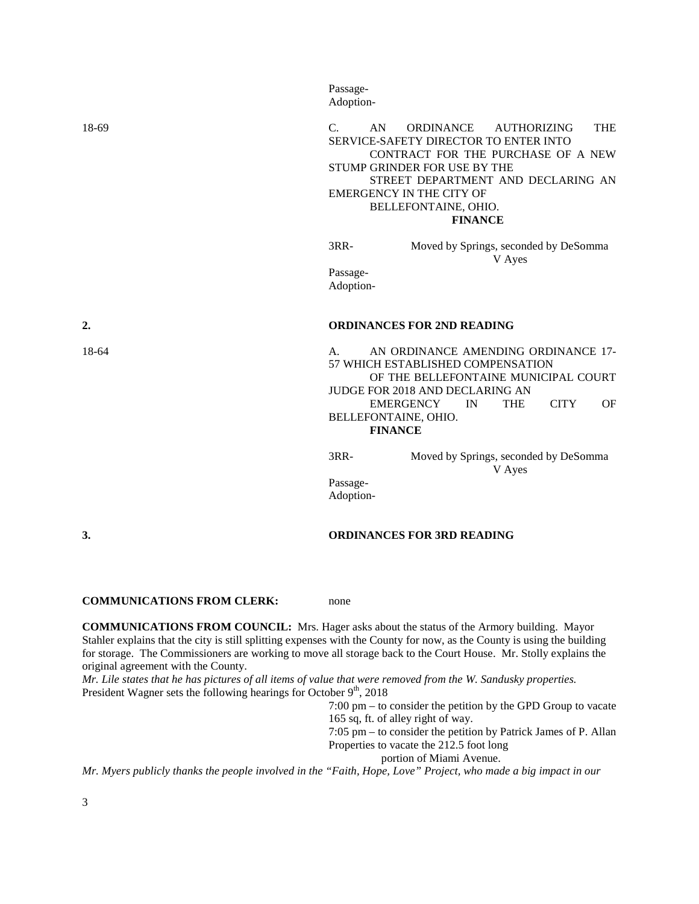|       | Passage-<br>Adoption-                                                                                                                                                                                                                                                                                       |
|-------|-------------------------------------------------------------------------------------------------------------------------------------------------------------------------------------------------------------------------------------------------------------------------------------------------------------|
| 18-69 | <b>THE</b><br>$C_{\cdot}$<br>AN<br><b>ORDINANCE</b><br><b>AUTHORIZING</b><br>SERVICE-SAFETY DIRECTOR TO ENTER INTO<br>CONTRACT FOR THE PURCHASE OF A NEW<br>STUMP GRINDER FOR USE BY THE<br>STREET DEPARTMENT AND DECLARING AN<br><b>EMERGENCY IN THE CITY OF</b><br>BELLEFONTAINE, OHIO.<br><b>FINANCE</b> |
|       | 3RR-<br>Moved by Springs, seconded by DeSomma<br>V Ayes<br>Passage-<br>Adoption-                                                                                                                                                                                                                            |
| 2.    | <b>ORDINANCES FOR 2ND READING</b>                                                                                                                                                                                                                                                                           |
| 18-64 | AN ORDINANCE AMENDING ORDINANCE 17-<br>A.<br>57 WHICH ESTABLISHED COMPENSATION<br>OF THE BELLEFONTAINE MUNICIPAL COURT<br>JUDGE FOR 2018 AND DECLARING AN<br><b>CITY</b><br><b>EMERGENCY</b><br>IN<br><b>THE</b><br><b>OF</b><br>BELLEFONTAINE, OHIO.<br><b>FINANCE</b>                                     |
|       | 3RR-<br>Moved by Springs, seconded by DeSomma<br>V Ayes<br>Passage-<br>Adoption-                                                                                                                                                                                                                            |
| 3.    | <b>ORDINANCES FOR 3RD READING</b>                                                                                                                                                                                                                                                                           |

## **COMMUNICATIONS FROM CLERK:** none

**COMMUNICATIONS FROM COUNCIL:** Mrs. Hager asks about the status of the Armory building. Mayor Stahler explains that the city is still splitting expenses with the County for now, as the County is using the building for storage. The Commissioners are working to move all storage back to the Court House. Mr. Stolly explains the original agreement with the County.

*Mr. Lile states that he has pictures of all items of value that were removed from the W. Sandusky properties.*  President Wagner sets the following hearings for October  $9<sup>th</sup>$ , 2018

> 7:00 pm – to consider the petition by the GPD Group to vacate 165 sq, ft. of alley right of way.

> 7:05 pm – to consider the petition by Patrick James of P. Allan Properties to vacate the 212.5 foot long

portion of Miami Avenue.

*Mr. Myers publicly thanks the people involved in the "Faith, Hope, Love" Project, who made a big impact in our*